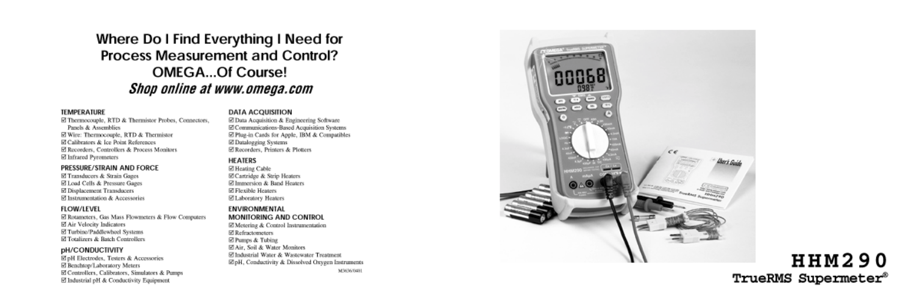# Where Do I Find Everything I Need for Process Measurement and Control? **OMEGA...Of Course!** Shop online at www.omega.com

#### **TEMPERATURE**

E Thermocouple, RTD & Thermistor Probes, Connectors, Panels & Assemblies ⊠ Wire: Thermocouple, RTD & Thermistor El Calibrators & Ice Point References ⊠ Recorders, Controllers & Process Monitors E Infrared Pyrometers

#### PRESSURE/STRAIN AND FORCE

⊠ Transducers & Strain Gages El Load Cells & Pressure Gages E Displacement Transducers ☑ Instrumentation & Accessories

#### **FLOW/LEVEL**

⊠ Rotameters, Gas Mass Flowmeters & Flow Computers ⊠ Air Velocity Indicators ☑ Turbine/Paddlewheel Systems El Totalizers & Batch Controllers

#### **pH/CONDUCTIVITY**

⊠ pH Electrodes, Testers & Accessories E Benchtop/Laboratory Meters ⊠ Controllers, Calibrators, Simulators & Pumps ⊠ Industrial pH & Conductivity Equipment

#### **DATA ACQUISITION**

El Data Acquisition & Engineering Software ⊠ Communications-Based Acquisition Systems El Plug-in Cards for Apple, IBM & Compatibles El Datalogging Systems □ Recorders, Printers & Plotters

#### **HEATERS**

**Ø Heating Cable** ⊠ Cartridge & Strip Heaters El Immersion & Band Heaters **⊠ Flexible Heaters** □ Laboratory Heaters

#### **ENVIRONMENTAL MONITORING AND CONTROL**

El Metering & Control Instrumentation **⊠ Refractometers ⊠ Pumps & Tubing** El Air, Soil & Water Monitors El Industrial Water & Wastewater Treatment EpH, Conductivity & Dissolved Oxygen Instruments **M3636/0401** 



# **HHM290** TrueRMS Supermeter®

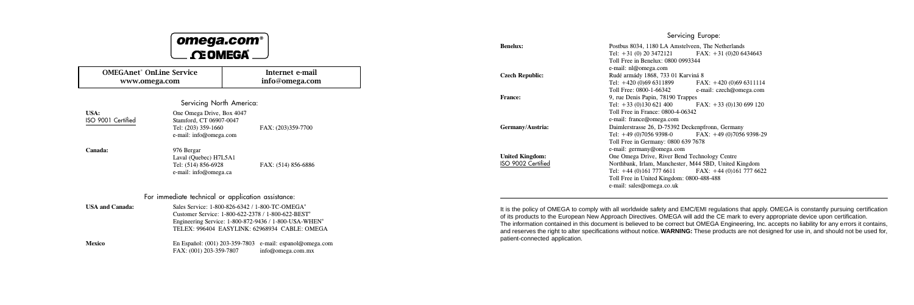# omega.com **CEOMEGA®**

Mexico En Español: (001) 203-359-7803 e-mail: espanol@omega.com FAX: (001) 203-359-7807 info@omega.com.mx

| <b>OMEGAnet<sup>®</sup> OnLine Service</b><br>www.omega.com |                                                                                                                                                                                                                                                     | Internet e-mail<br>info@omega.com |  |  |  |  |
|-------------------------------------------------------------|-----------------------------------------------------------------------------------------------------------------------------------------------------------------------------------------------------------------------------------------------------|-----------------------------------|--|--|--|--|
| Servicing North America:                                    |                                                                                                                                                                                                                                                     |                                   |  |  |  |  |
| USA:<br>ISO 9001 Certified                                  | One Omega Drive, Box 4047<br>Stamford, CT 06907-0047<br>Tel: (203) 359-1660<br>e-mail: info@omega.com                                                                                                                                               | FAX: (203)359-7700                |  |  |  |  |
| Canada:                                                     | 976 Bergar<br>Laval (Ouebec) H7L5A1<br>Tel: (514) 856-6928<br>e-mail: info@omega.ca                                                                                                                                                                 | FAX: (514) 856-6886               |  |  |  |  |
| For immediate technical or application assistance:          |                                                                                                                                                                                                                                                     |                                   |  |  |  |  |
| <b>USA and Canada:</b>                                      | Sales Service: 1-800-826-6342 / 1-800-TC-OMEGA <sup>®</sup><br>Customer Service: 1-800-622-2378 / 1-800-622-BEST <sup>®</sup><br>Engineering Service: 1-800-872-9436 / 1-800-USA-WHEN <sup>®</sup><br>TELEX: 996404 EASYLINK: 62968934 CABLE: OMEGA |                                   |  |  |  |  |

® Servicing Europe: Benelux: Postbus 8034, 1180 LA Amstelveen, The Netherlands Tel: +31 (0) 20 3472121 FAX: +31 (0)20 6434643 Toll Free in Benelux: 0800 0993344 e-mail: nl@omega.com Czech Republic: Rudé armády 1868, 733 01 Karviná 8 Tel: +420 (0)69 6311899 FAX: +420 (0)69 6311114<br>Toll Free: 0800-1-66342 e-mail: czech@omega.com e-mail: czech@omega.com **France:** 9, rue Denis Papin, 78190 Trappes<br>Tel: +33 (0)130 621 400 <br>FAX: +33 (0)130 699 120 Tel:  $+33$  (0)130 621 400 Toll Free in France: 0800-4-06342 e-mail: france@omega.com Germany/Austria: Daimlerstrasse 26, D-75392 Deckenpfronn, Germany Tel: +49 (0)7056 9398-0 FAX: +49 (0)7056 9398-29 Toll Free in Germany: 0800 639 7678 e-mail: germany@omega.com United Kingdom: One Omega Drive, River Bend Technology Centre<br>
ISO 9002 Certified Northbank, Irlam, Manchester, M44 5BD, United I Northbank, Irlam, Manchester, M44 5BD, United Kingdom Tel:  $+44(0)1617776611$  FAX:  $+44(0)1617776622$ Toll Free in United Kingdom: 0800-488-488 e-mail: sales@omega.co.uk

> It is the policy of OMEGA to comply with all worldwide safety and EMC/EMI regulations that apply. OMEGA is constantly pursuing certification of its products to the European New Approach Directives. OMEGA will add the CE mark to every appropriate device upon certification. The information contained in this document is believed to be correct but OMEGA Engineering, Inc. accepts no liability for any errors it contains, and reserves the right to alter specifications without notice. **WARNING:** These products are not designed for use in, and should not be used for, patient-connected application.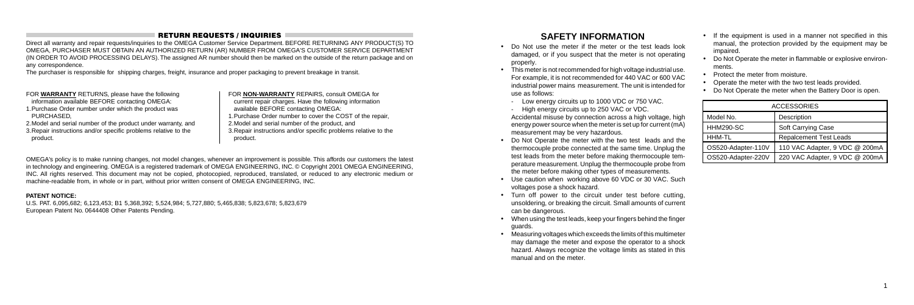### RETURN REQUESTS / INQUIRIES

Direct all warranty and repair requests/inquiries to the OMEGA Customer Service Department. BEFORE RETURNING ANY PRODUCT(S) TO OMEGA, PURCHASER MUST OBTAIN AN AUTHORIZED RETURN (AR) NUMBER FROM OMEGA'S CUSTOMER SERVICE DEPARTMENT (IN ORDER TO AVOID PROCESSING DELAYS). The assigned AR number should then be marked on the outside of the return package and on any correspondence.

1.Purchase Order number under which the product was **PURCHASED** 

The purchaser is responsible for shipping charges, freight, insurance and proper packaging to prevent breakage in transit.

FOR **WARRANTY** RETURNS, please have the following information available BEFORE contacting OMEGA:

2.Model and serial number of the product under warranty, and 3.Repair instructions and/or specific problems relative to the product.

FOR **NON-WARRANTY** REPAIRS, consult OMEGA for current repair charges. Have the following information available BEFORE contacting OMEGA: 1.Purchase Order number to cover the COST of the repair, 2.Model and serial number of the product, and 3.Repair instructions and/or specific problems relative to the product.

OMEGA's policy is to make running changes, not model changes, whenever an improvement is possible. This affords our customers the latest in technology and engineering. OMEGA is a registered trademark of OMEGA ENGINEERING, INC. © Copyright 2001 OMEGA ENGINEERING, INC. All rights reserved. This document may not be copied, photocopied, reproduced, translated, or reduced to any electronic medium or machine-readable from, in whole or in part, without prior written consent of OMEGA ENGINEERING, INC.

#### **PATENT NOTICE:**

U.S. PAT. 6,095,682; 6,123,453; B1 5,368,392; 5,524,984; 5,727,880; 5,465,838; 5,823,678; 5,823,679 European Patent No. 0644408 Other Patents Pending.

- If the equipment is used in a manner not specified in this manual, the protection provided by the equipment may be impaired.
- Do Not Operate the meter in flammable or explosive environments.
- Protect the meter from moisture.
- Operate the meter with the two test leads provided.
- Do Not Operate the meter when the Battery Door is open.

# **SAFETY INFORMATION**

- Do Not use the meter if the meter or the test leads look damaged, or if you suspect that the meter is not operating properly.
- This meter is not recommended for high voltage industrial use. For example, it is not recommended for 440 VAC or 600 VAC industrial power mains measurement. The unit is intended for use as follows:
	- Low energy circuits up to 1000 VDC or 750 VAC.
	- High energy circuits up to 250 VAC or VDC.

Accidental misuse by connection across a high voltage, high energy power source when the meter is set up for current (mA) measurement may be very hazardous.

- Do Not Operate the meter with the two test leads and the thermocouple probe connected at the same time. Unplug the test leads from the meter before making thermocouple temperature measurement. Unplug the thermocouple probe from the meter before making other types of measurements.
- Use caution when working above 60 VDC or 30 VAC. Such voltages pose a shock hazard.
- Turn off power to the circuit under test before cutting, unsoldering, or breaking the circuit. Small amounts of current can be dangerous.
- When using the test leads, keep your fingers behind the finger guards.
- Measuring voltages which exceeds the limits of this multimeter may damage the meter and expose the operator to a shock hazard. Always recognize the voltage limits as stated in this manual and on the meter.

| <b>ACCESSORIES</b> |                                |  |  |  |
|--------------------|--------------------------------|--|--|--|
| Model No.          | Description                    |  |  |  |
| <b>HHM290-SC</b>   | Soft Carrying Case             |  |  |  |
| HHM-TL             | <b>Repalcement Test Leads</b>  |  |  |  |
| OS520-Adapter-110V | 110 VAC Adapter, 9 VDC @ 200mA |  |  |  |
| OS520-Adapter-220V | 220 VAC Adapter, 9 VDC @ 200mA |  |  |  |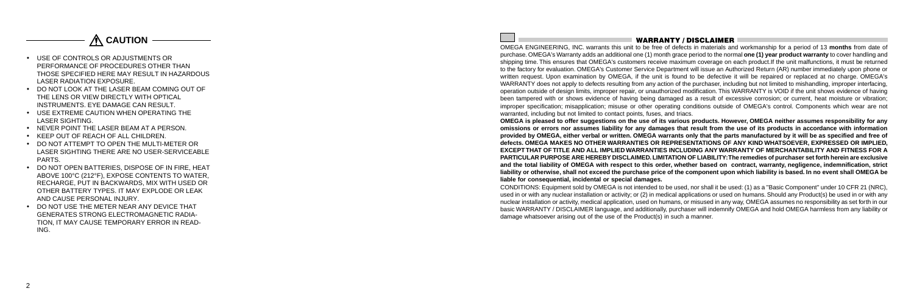

- USE OF CONTROLS OR ADJUSTMENTS OR PERFORMANCE OF PROCEDURES OTHER THAN THOSE SPECIFIED HERE MAY RESULT IN HAZARDOUS LASER RADIATION EXPOSURE.
- DO NOT LOOK AT THE LASER BEAM COMING OUT OF THE LENS OR VIEW DIRECTLY WITH OPTICAL INSTRUMENTS. EYE DAMAGE CAN RESULT.
- USE EXTREME CAUTION WHEN OPERATING THE LASER SIGHTING.
- NEVER POINT THE LASER BEAM AT A PERSON.
- KEEP OUT OF REACH OF ALL CHILDREN.
- DO NOT ATTEMPT TO OPEN THE MULTI-METER OR LASER SIGHTING THERE ARE NO USER-SERVICEABLE PARTS.
- DO NOT OPEN BATTERIES, DISPOSE OF IN FIRE, HEAT ABOVE 100°C (212°F), EXPOSE CONTENTS TO WATER, RECHARGE, PUT IN BACKWARDS, MIX WITH USED OR OTHER BATTERY TYPES. IT MAY EXPLODE OR LEAK AND CAUSE PERSONAL INJURY.
- DO NOT USE THE METER NEAR ANY DEVICE THAT GENERATES STRONG ELECTROMAGNETIC RADIA-TION, IT MAY CAUSE TEMPORARY ERROR IN READ-ING.

WARRANTY / DISCLAIMER

OMEGA ENGINEERING, INC. warrants this unit to be free of defects in materials and workmanship for a period of 13 **months** from date of purchase. OMEGA's Warranty adds an additional one (1) month grace period to the normal **one (1) year product warranty** to cover handling and shipping time. This ensures that OMEGA's customers receive maximum coverage on each product.If the unit malfunctions, it must be returned to the factory for evaluation. OMEGA's Customer Service Department will issue an Authorized Return (AR) number immediately upon phone or written request. Upon examination by OMEGA, if the unit is found to be defective it will be repaired or replaced at no charge. OMEGA's WARRANTY does not apply to defects resulting from any action of the purchaser, including but not limited to mishandling, improper interfacing, operation outside of design limits, improper repair, or unauthorized modification. This WARRANTY is VOID if the unit shows evidence of having been tampered with or shows evidence of having being damaged as a result of excessive corrosion; or current, heat moisture or vibration; improper specification; misapplication; misuse or other operating conditions outside of OMEGA's control. Components which wear are not warranted, including but not limited to contact points, fuses, and triacs. **OMEGA is pleased to offer suggestions on the use of its various products. However, OMEGA neither assumes responsibility for any omissions or errors nor assumes liability for any damages that result from the use of its products in accordance with information provided by OMEGA, either verbal or written. OMEGA warrants only that the parts manufactured by it will be as specified and free of defects. OMEGA MAKES NO OTHER WARRANTIES OR REPRESENTATIONS OF ANY KIND WHATSOEVER, EXPRESSED OR IMPLIED, EXCEPT THAT OF TITLE AND ALL IMPLIED WARRANTIES INCLUDING ANY WARRANTY OF MERCHANTABILITY AND FITNESS FOR A PARTICULAR PURPOSE ARE HEREBY DISCLAIMED. LIMITATION OF LIABILITY: The remedies of purchaser set forth herein are exclusive and the total liability of OMEGA with respect to this order, whether based on contract, warranty, negligence, indemnification, strict liability or otherwise, shall not exceed the purchase price of the component upon which liability is based. In no event shall OMEGA be liable for consequential, incidental or special damages.**

CONDITIONS: Equipment sold by OMEGA is not intended to be used, nor shall it be used: (1) as a "Basic Component" under 10 CFR 21 (NRC), used in or with any nuclear installation or activity; or (2) in medical applications or used on humans. Should any Product(s) be used in or with any nuclear installation or activity, medical application, used on humans, or misused in any way, OMEGA assumes no responsibility as set forth in our basic WARRANTY / DISCLAIMER language, and additionally, purchaser will indemnify OMEGA and hold OMEGA harmless from any liability or damage whatsoever arising out of the use of the Product(s) in such a manner.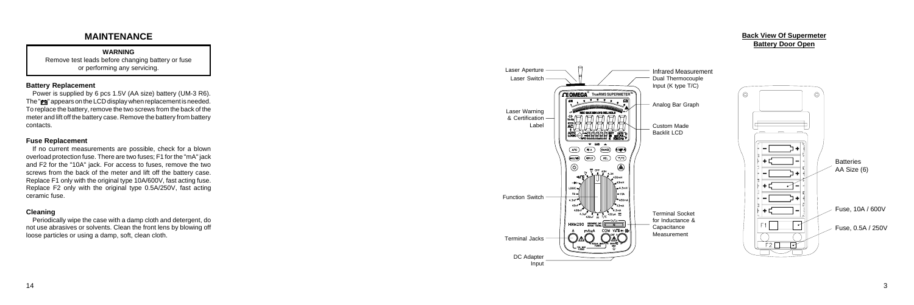3

# **MAINTENANCE**

**WARNING** Remove test leads before changing battery or fuse or performing any servicing.

#### **Battery Replacement**

Power is supplied by 6 pcs 1.5V (AA size) battery (UM-3 R6). The  $"$  $\equiv$   $"$  appears on the LCD display when replacement is needed. To replace the battery, remove the two screws from the back of the meter and lift off the battery case. Remove the battery from battery contacts.

#### **Fuse Replacement**

If no current measurements are possible, check for a blown overload protection fuse. There are two fuses; F1 for the "mA" jack and F2 for the "10A" jack. For access to fuses, remove the two screws from the back of the meter and lift off the battery case. Replace F1 only with the original type 10A/600V, fast acting fuse. Replace F2 only with the original type 0.5A/250V, fast acting ceramic fuse.

#### **Cleaning**

Periodically wipe the case with a damp cloth and detergent, do not use abrasives or solvents. Clean the front lens by blowing off loose particles or using a damp, soft, clean cloth.



#### **Back View Of Supermeter Battery Door Open**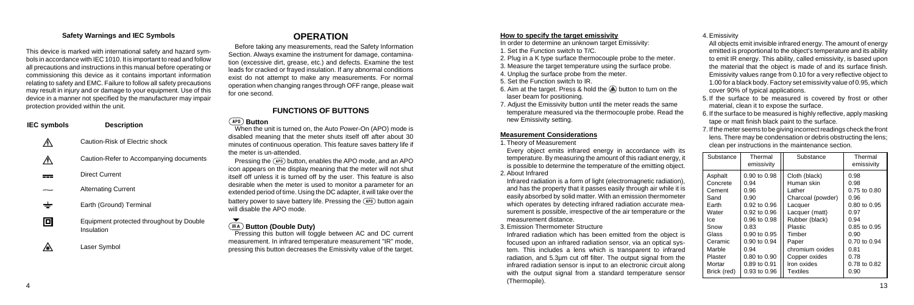#### **Safety Warnings and IEC Symbols**

This device is marked with international safety and hazard symbols in accordance with IEC 1010. It is important to read and follow all precautions and instructions in this manual before operating or commissioning this device as it contains important information relating to safety and EMC. Failure to follow all safety precautions may result in injury and or damage to your equipment. Use of this device in a manner not specified by the manufacturer may impair protection provided within the unit.

| IEC symbols | <b>Description</b>                                     |
|-------------|--------------------------------------------------------|
|             | Caution-Risk of Electric shock                         |
|             | Caution-Refer to Accompanying documents                |
|             | Direct Current                                         |
|             | <b>Alternating Current</b>                             |
|             | Earth (Ground) Terminal                                |
| 101         | Equipment protected throughout by Double<br>Insulation |
|             | Laser Symbol                                           |

# **OPERATION**

Pressing the  $\overline{APO}$  button, enables the APO mode, and an APO icon appears on the display meaning that the meter will not shut itself off unless it is turned off by the user. This feature is also desirable when the meter is used to monitor a parameter for an extended period of time. Using the DC adapter, it will take over the battery power to save battery life. Pressing the  $\overline{(\text{APO})}$  button again will disable the APO mode.

# **(EA)** Button (Double Duty)

Before taking any measurements, read the Safety Information Section. Always examine the instrument for damage, contamination (excessive dirt, grease, etc.) and defects. Examine the test leads for cracked or frayed insulation. If any abnormal conditions exist do not attempt to make any measurements. For normal operation when changing ranges through OFF range, please wait for one second.

### **FUNCTIONS OF BUTTONS**

#### *APO* Button

When the unit is turned on, the Auto Power-On (APO) mode is disabled meaning that the meter shuts itself off after about 30 minutes of continuous operation. This feature saves battery life if the meter is un-attended.

 $\ddot{a}$  13 Infrared radiation which has been emitted from the object is focused upon an infrared radiation sensor, via an optical system. This includes a lens which is transparent to infrared radiation, and 5.3µm cut off filter. The output signal from the infrared radiation sensor is input to an electronic circuit along with the output signal from a standard temperature sensor (Thermopile).

Pressing this button will toggle between AC and DC current measurement. In infrared temperature measurement "IR" mode, pressing this button decreases the Emissivity value of the target.

#### **How to specify the target emissivity**

In order to determine an unknown target Emissivity:

- 1. Set the Function switch to T/C.
- 2. Plug in a K type surface thermocouple probe to the meter.
- 3. Measure the target temperature using the surface probe.
- 4. Unplug the surface probe from the meter.
- 5. Set the Function switch to IR.
- 6. Aim at the target. Press & hold the  $\textcircled{A}$  button to turn on the laser beam for positioning.
- 7. Adjust the Emissivity button until the meter reads the same temperature measured via the thermocouple probe. Read the new Emissivity setting.

#### **Measurement Considerations**

1. Theory of Measurement

Every object emits infrared energy in accordance with its temperature. By measuring the amount of this radiant energy, it is possible to determine the temperature of the emitting object. 2. About Infrared

Infrared radiation is a form of light (electromagnetic radiation), and has the property that it passes easily through air while it is easily absorbed by solid matter. With an emission thermometer which operates by detecting infrared radiation accurate measurement is possible, irrespective of the air temperature or the measurement distance.

3. Emission Thermometer Structure

#### 4. Emissivity

All objects emit invisible infrared energy. The amount of energy emitted is proportional to the object's temperature and its ability to emit IR energy. This ability, called emissivity, is based upon the material that the object is made of and its surface finish. Emissivity values range from 0.10 for a very reflective object to 1.00 for a black body. Factory set emissivity value of 0.95, which cover 90% of typical applications.

- 5. If the surface to be measured is covered by frost or other material, clean it to expose the surface.
- 6. If the surface to be measured is highly reflective, apply masking tape or matt finish black paint to the surface.
- 7. If the meter seems to be giving incorrect readings check the front lens. There may be condensation or debris obstructing the lens; clean per instructions in the maintenance section.

| Substance   | Thermal<br>emissivity | Substance         | Thermal<br>emissivity |
|-------------|-----------------------|-------------------|-----------------------|
| Asphalt     | $0.90$ to $0.98$      | Cloth (black)     | 0.98                  |
| Concrete    | 0.94                  | Human skin        | 0.98                  |
| Cement      | 0.96                  | Lather            | 0.75 to 0.80          |
| Sand        | 0.90                  | Charcoal (powder) | 0.96                  |
| Earth       | $0.92$ to $0.96$      | Lacquer           | 0.80 to 0.95          |
| Water       | $0.92$ to $0.96$      | Lacquer (matt)    | 0.97                  |
| lce         | 0.96 to 0.98          | Rubber (black)    | 0.94                  |
| Snow        | 0.83                  | Plastic           | $0.85$ to $0.95$      |
| Glass       | $0.90$ to $0.95$      | Timber            | 0.90                  |
| Ceramic     | $0.90$ to $0.94$      | Paper             | 0.70 to 0.94          |
| Marble      | 0.94                  | chromium oxides   | 0.81                  |
| Plaster     | $0.80$ to $0.90$      | Copper oxides     | 0.78                  |
| Mortar      | 0.89 to 0.91          | Iron oxides       | 0.78 to 0.82          |
| Brick (red) | 0.93 to 0.96          | Textiles          | 0.90                  |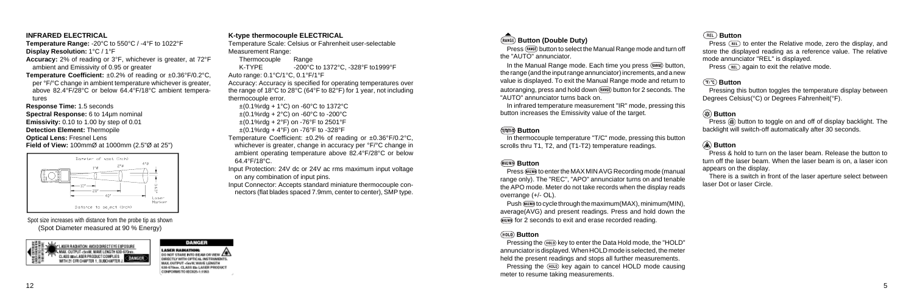Press (RANGE) button to select the Manual Range mode and turn off the "AUTO" annunciator.

In the Manual Range mode. Each time you press (RANGE) button. the range (and the input range annunciator) increments, and a new value is displayed. To exit the Manual Range mode and return to autoranging, press and hold down (RANGE) button for 2 seconds. The "AUTO" annunciator turns back on.

Press (MAXMI) to enter the MAX MIN AVG Recording mode (manual range only). The "REC", "APO" annunciator turns on and tenable the APO mode. Meter do not take records when the display reads overrange (+/- OL).

Push (((())) to cycle through the maximum (MAX), minimum (MIN), average(AVG) and present readings. Press and hold down the (MAX/MI) for 2 seconds to exit and erase recorded reading.

#### **(HOLD)** Button

In infrared temperature measurement "IR" mode, pressing this button increases the Emissivity value of the target.

### *<b>MAN-R* Button

In thermocouple temperature "T/C" mode, pressing this button scrolls thru T1, T2, and (T1-T2) temperature readings.

## *MAX/MIN* Button

Pressing the (HOLD) key to enter the Data Hold mode, the "HOLD" annunciator is displayed. When HOLD mode is selected, the meter held the present readings and stops all further measurements. Pressing the (HOLD) key again to cancel HOLD mode causing meter to resume taking measurements.

Press  $(FEL)$  to enter the Relative mode, zero the display, and store the displayed reading as a reference value. The relative mode annunciator "REL" is displayed.

Press  $(RIL)$  again to exit the relative mode.

Pressing this button toggles the temperature display between Degrees Celsius(°C) or Degrees Fahrenheit(°F).

Press  $\circledast$  button to toggle on and off of display backlight. The backlight will switch-off automatically after 30 seconds.

### **Button**

#### **Button**

## **Button**

# **Button**

Press & hold to turn on the laser beam. Release the button to turn off the laser beam. When the laser beam is on, a laser icon appears on the display.

There is a switch in front of the laser aperture select between laser Dot or laser Circle.

#### **INFRARED ELECTRICAL**

**Temperature Range:** -20°C to 550°C / -4°F to 1022°F **Display Resolution:** 1°C / 1°F

**Accuracy:** 2% of reading or 3°F, whichever is greater, at 72°F ambient and Emissivity of 0.95 or greater

**Temperature Coefficient:** ±0.2% of reading or ±0.36°F/0.2°C, per °F/°C change in ambient temperature whichever is greater, above 82.4°F/28°C or below 64.4°F/18°C ambient temperatures

**Response Time:** 1.5 seconds **Spectral Response:** 6 to 14µm nominal **Emissivity:** 0.10 to 1.00 by step of 0.01 **Detection Element:** Thermopile **Optical Lens:** Fresnel Lens **Field of View:** 100mmØ at 1000mm (2.5"Ø at 25")



#### **K-type thermocouple ELECTRICAL**

Temperature Scale: Celsius or Fahrenheit user-selectable Measurement Range:

Thermocouple Range K-TYPE -200°C to 1372°C, -328°F to 1999°F Auto range: 0.1°C/1°C, 0.1°F/1°F Accuracy: Accuracy is specified for operating temperatures over the range of 18°C to 28°C (64°F to 82°F) for 1 year, not including thermocouple error.

 $\pm$ (0.1%rdg + 1°C) on -60°C to 1372°C  $\pm$ (0.1%rdg + 2°C) on -60°C to -200°C  $\pm$ (0.1%rdg + 2°F) on -76°F to 2501°F  $\pm$ (0.1%rdg + 4°F) on -76°F to -328°F

Temperature Coefficient: ±0.2% of reading or ±0.36°F/0.2°C, whichever is greater, change in accuracy per °F/°C change in ambient operating temperature above 82.4°F/28°C or below 64.4°F/18°C.

Input Protection: 24V dc or 24V ac rms maximum input voltage on any combination of input pins.

Input Connector: Accepts standard miniature thermocouple connectors (flat blades spaced 7.9mm, center to center), SMP type.

# $(RANGE)$  Button (Double Duty)

Spot size increases with distance from the probe tip as shown (Spot Diameter measured at 90 % Energy)



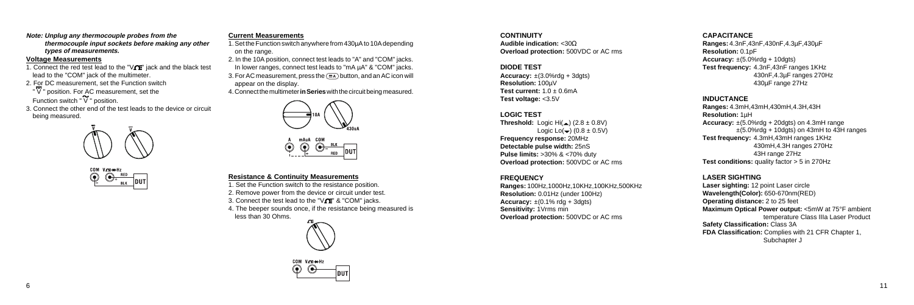**Note: Unplug any thermocouple probes from the thermocouple input sockets before making any other types of measurements.**

#### **Voltage Measurements**

- 1. Connect the red test lead to the " $\sqrt{\Gamma}$ " jack and the black test lead to the "COM" jack of the multimeter.
- 2. For DC measurement, set the Function switch " V " position. For AC measurement, set the

Function switch " V " position.

3. Connect the other end of the test leads to the device or circuit being measured.





#### **Resistance & Continuity Measurements**

1. Set the Function switch to the resistance position.

2. Remove power from the device or circuit under test.

3. Connect the test lead to the " $V$  $V$  $V$ " & "COM" jacks.

4. The beeper sounds once, if the resistance being measured is less than 30 Ohms.





**Threshold:** Logic Hi( $\triangle$ ) (2.8  $\pm$  0.8V) Logic Lo $\left(\bigstar\right)$  (0.8  $\pm$  0.5V) **Frequency response:** 20MHz **Detectable pulse width:** 25nS **Pulse limits:** >30% & <70% duty **Overload protection:** 500VDC or AC rms

### **Current Measurements**

**INDUCTANCE Ranges:** 4.3mH,43mH,430mH,4.3H,43H **Resolution:** 1µH **Accuracy:** ±(5.0%rdg + 20dgts) on 4.3mH range  $\pm$ (5.0%rdg + 10dgts) on 43mH to 43H ranges **Test frequency:** 4.3mH,43mH ranges 1KHz 430mH,4.3H ranges 270Hz 43H range 27Hz **Test conditions:** quality factor > 5 in 270Hz

- 1. Set the Function switch anywhere from 430µA to 10A depending on the range.
- 2. In the 10A position, connect test leads to "A" and "COM" jacks. In lower ranges, connect test leads to "mA  $\mu$ A" & "COM" jacks.
- 3. For AC measurement, press the  $(\overline{m})$  button, and an AC icon will appear on the display.
- 4. Connect the multimeter **in Series** with the circuit being measured.





#### **CONTINUITY**

**Audible indication:** <30Ω **Overload protection:** 500VDC or AC rms

#### **DIODE TEST**

**Accuracy:** ±(3.0%rdg + 3dgts) **Resolution:** 100µV **Test current:**  $1.0 + 0.6$ mA **Test voltage:** <3.5V

#### **LOGIC TEST**

#### **FREQUENCY**

**Ranges:** 100Hz,1000Hz,10KHz,100KHz,500KHz **Resolution:** 0.01Hz (under 100Hz) **Accuracy:**  $\pm (0.1\% \text{ r}) \text{ d}q + 3 \text{ d}q \text{ t} \text{s}$ **Sensitivity:** 1Vrms min **Overload protection:** 500VDC or AC rms

#### **CAPACITANCE**

**Ranges:** 4.3nF,43nF,430nF,4.3µF,430µF **Resolution:** 0.1pF **Accuracy:** ±(5.0%rdg + 10dgts) **Test frequency:** 4.3nF,43nF ranges 1KHz 430nF,4.3µF ranges 270Hz 430µF range 27Hz

**LASER SIGHTING Laser sighting:** 12 point Laser circle **Wavelength(Color):** 650-670nm(RED) **Operating distance:** 2 to 25 feet **Maximum Optical Power output:** <5mW at 75°F ambient temperature Class IIIa Laser Product **Safety Classification:** Class 3A **FDA Classification:** Complies with 21 CFR Chapter 1, Subchapter J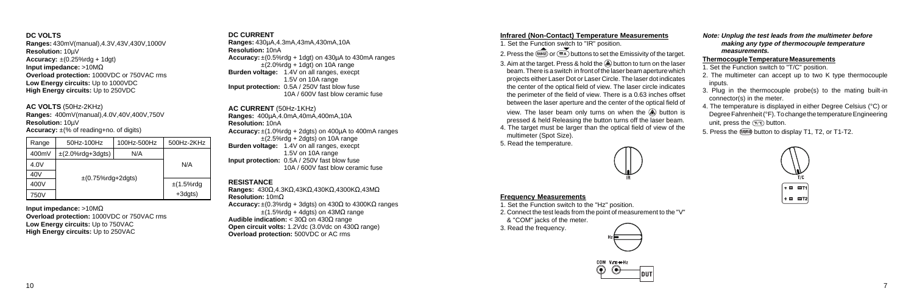#### **Infrared (Non-Contact) Temperature Measurements**

1. Set the Function switch to "IR" position.

2. Press the  $\overline{(RANGE)}$  or  $\overline{RAD}$  buttons to set the Emissivity of the target.

- 3. Aim at the target. Press & hold the  $\bigcirc$  button to turn on the laser beam. There is a switch in front of the laser beam aperture which projects either Laser Dot or Laser Circle. The laser dot indicates the center of the optical field of view. The laser circle indicates the perimeter of the field of view. There is a 0.63 inches offset between the laser aperture and the center of the optical field of view. The laser beam only turns on when the  $\circledA$  button is pressed & held Releasing the button turns off the laser beam.
- 4. The target must be larger than the optical field of view of the multimeter (Spot Size).
- 1. Set the Function switch to "T/C" position.
- 2. The multimeter can accept up to two K type thermocouple inputs.
- 3. Plug in the thermocouple probe(s) to the mating built-in connector(s) in the meter.
- 4. The temperature is displayed in either Degree Celsius (°C) or Degree Fahrenheit (°F). To change the temperature Engineering unit, press the  $(F, c)$  button.
- 5. Press the  $(mm)$  button to display T1, T2, or T1-T2.



5. Read the temperature.



#### **Frequency Measurements**

1. Set the Function switch to the "Hz" position.

2. Connect the test leads from the point of measurement to the "V" & "COM" jacks of the meter.

3. Read the frequency.





#### **Note: Unplug the test leads from the multimeter before making any type of thermocouple temperature measurements.**

#### **Thermocouple Temperature Measurements**

#### **DC VOLTS**

**Ranges:** 430mV(manual),4.3V,43V,430V,1000V **Resolution:** 10µV **Accuracy:** ±(0.25%rdg + 1dgt) **Input impedance:** >10MΩ **Overload protection:** 1000VDC or 750VAC rms **Low Energy circuits:** Up to 1000VDC **High Energy circuits:** Up to 250VDC

#### **AC VOLTS** (50Hz-2KHz)

**Ranges:** 400mV(manual),4.0V,40V,400V,750V **Resolution:** 10µV

**Accuracy:** ±(% of reading+no. of digits)

**Input impedance:** >10MΩ **Overload protection:** 1000VDC or 750VAC rms **Low Energy circuits:** Up to 750VAC **High Energy circuits:** Up to 250VAC

| Range           | 50Hz-100Hz                   | 100Hz-500Hz    | 500Hz-2KHz |
|-----------------|------------------------------|----------------|------------|
| 400mV           | $\pm$ (2.0%rdg+3dgts)<br>N/A |                | N/A        |
| 4.0V            |                              |                |            |
| 40 <sub>V</sub> | $\pm$ (0.75%rdg+2dgts)       |                |            |
| 400V            |                              | $\pm$ (1.5%rdg |            |
| 750V            |                              |                | +3dgts)    |

#### **DC CURRENT**

**Ranges:** 430µA,4.3mA,43mA,430mA,10A **Resolution:** 10nA **Accuracy:** ±(0.5%rdg + 1dgt) on 430µA to 430mA ranges  $\pm$ (2.0%rdg + 1dgt) on 10A range **Burden voltage:** 1.4V on all ranges, execpt 1.5V on 10A range **Input protection:** 0.5A / 250V fast blow fuse 10A / 600V fast blow ceramic fuse

**AC CURRENT** (50Hz-1KHz) **Ranges:** 400µA,4.0mA,40mA,400mA,10A **Resolution:** 10nA **Accuracy:** ±(1.0%rdg + 2dgts) on 400µA to 400mA ranges  $\pm$ (2.5%rdg + 2dgts) on 10A range **Burden voltage:** 1.4V on all ranges, execpt 1.5V on 10A range **Input protection:** 0.5A / 250V fast blow fuse 10A / 600V fast blow ceramic fuse

#### **RESISTANCE**

**Ranges:** 430Ω,4.3KΩ,43KΩ,430KΩ,4300KΩ,43MΩ **Resolution:** 10mΩ **Accuracy:**  $\pm$ (0.3%rdg + 3dgts) on 430 $\Omega$  to 4300K $\Omega$  ranges  $\pm$ (1.5%rdg + 4dgts) on 43M $\Omega$  range **Audible indication:** < 30Ω on 430Ω range **Open circuit volts:** 1.2Vdc (3.0Vdc on 430Ω range) **Overload protection:** 500VDC or AC rms